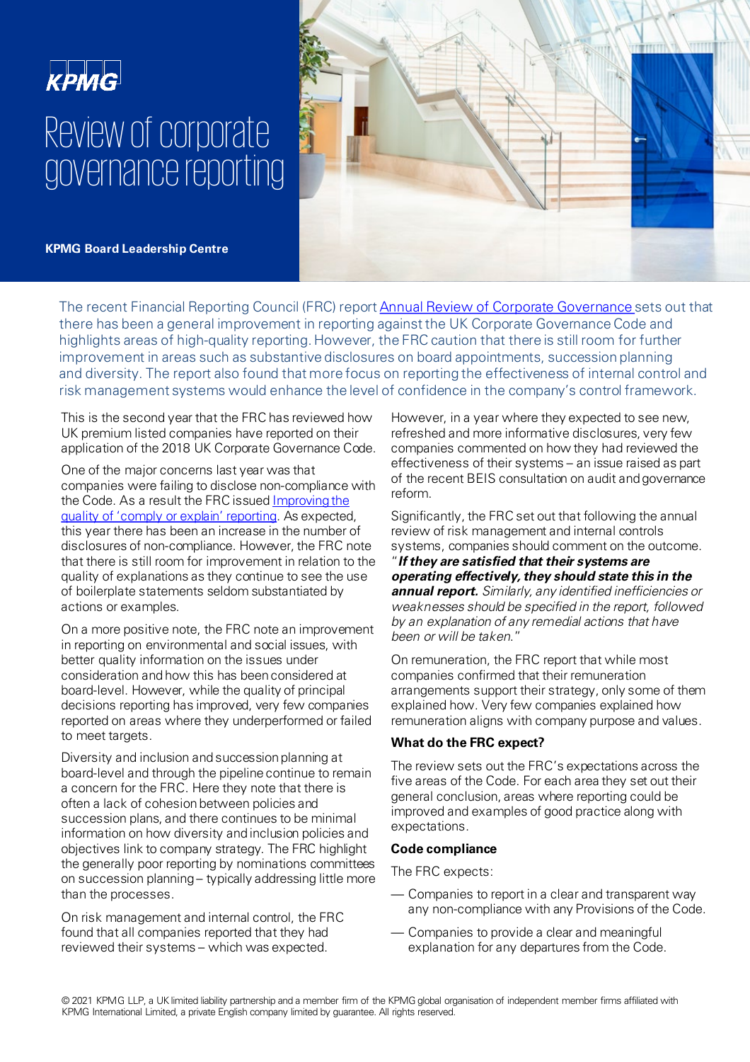# **KPMG** Review of corporate governance reporting

**KPMG Board Leadership Centre**

The recent Financial Reporting Council (FRC) report [Annual Review of Corporate Governance s](https://www.frc.org.uk/getattachment/b0a0959e-d7fe-4bcd-b842-353f705462c3/FRC-Review-of-Corporate-Governance-Reporting_November-2021.pdf)ets out that there has been a general improvement in reporting against the UK Corporate Governance Code and highlights areas of high-quality reporting. However, the FRC caution that there is still room for further improvement in areas such as substantive disclosures on board appointments, succession planning and diversity. The report also found that more focus on reporting the effectiveness of internal control and risk management systems would enhance the level of confidence in the company's control framework.

This is the second year that the FRC has reviewed how UK premium listed companies have reported on their application of the 2018 UK Corporate Governance Code.

One of the major concerns last year was that companies were failing to disclose non-compliance with [the Code. As a result the FRC issued Improving the](https://www.frc.org.uk/getattachment/6a4c93cf-cf93-4b33-89e9-4c42ae36b594/Improving-the-Quality-of-Comply-or-Explain-Reporting.pdf)  quality of 'comply or explain' reporting. As expected, this year there has been an increase in the number of disclosures of non-compliance. However, the FRC note that there is still room for improvement in relation to the quality of explanations as they continue to see the use of boilerplate statements seldom substantiated by actions or examples.

On a more positive note, the FRC note an improvement in reporting on environmental and social issues, with better quality information on the issues under consideration and how this has been considered at board-level. However, while the quality of principal decisions reporting has improved, very few companies reported on areas where they underperformed or failed to meet targets.

Diversity and inclusion and succession planning at board-level and through the pipeline continue to remain a concern for the FRC. Here they note that there is often a lack of cohesion between policies and succession plans, and there continues to be minimal information on how diversity and inclusion policies and objectives link to company strategy. The FRC highlight the generally poor reporting by nominations committees on succession planning – typically addressing little more than the processes.

On risk management and internal control, the FRC found that all companies reported that they had reviewed their systems – which was expected.

However, in a year where they expected to see new, refreshed and more informative disclosures, very few companies commented on how they had reviewed the effectiveness of their systems – an issue raised as part of the recent BEIS consultation on audit and governance reform.

Significantly, the FRC set out that following the annual review of risk management and internal controls systems, companies should comment on the outcome.

"**If they are satisfied that their systems are operating effectively, they should state this in the annual report.** Similarly, any identified inefficiencies or weaknesses should be specified in the report, followed by an explanation of any remedial actions that have been or will be taken."

On remuneration, the FRC report that while most companies confirmed that their remuneration arrangements support their strategy, only some of them explained how. Very few companies explained how remuneration aligns with company purpose and values.

## **What do the FRC expect?**

The review sets out the FRC's expectations across the five areas of the Code. For each area they set out their general conclusion, areas where reporting could be improved and examples of good practice along with expectations.

## **Code compliance**

The FRC expects:

- Companies to report in a clear and transparent way any non-compliance with any Provisions of the Code.
- Companies to provide a clear and meaningful explanation for any departures from the Code.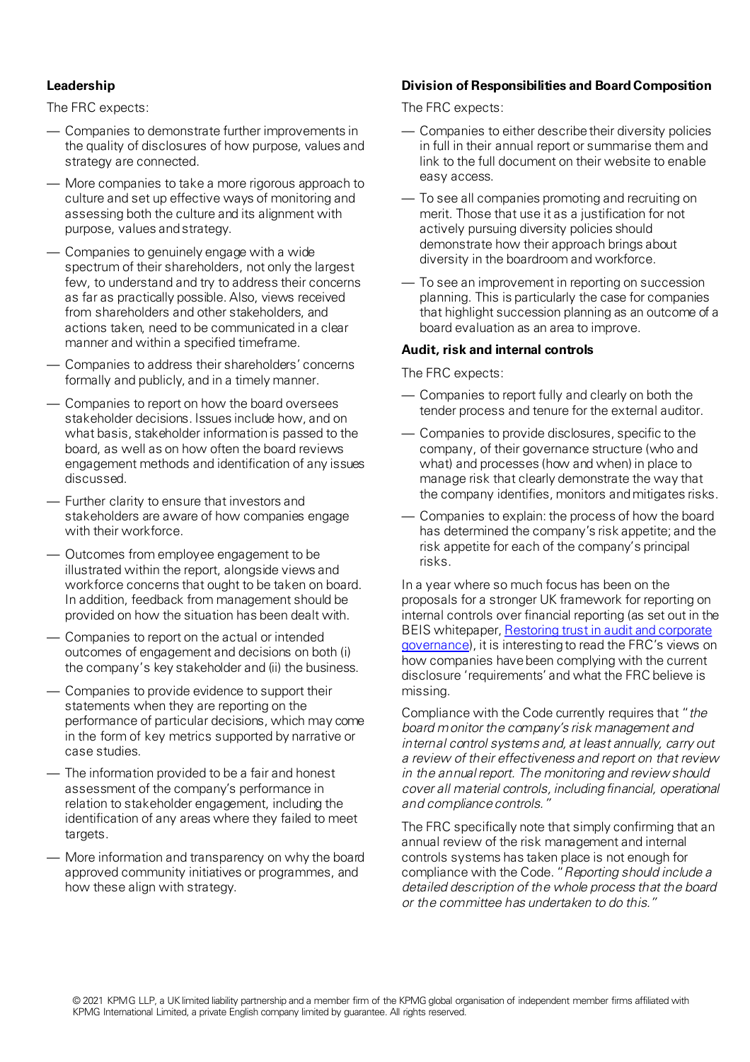## **Leadership**

The FRC expects:

- Companies to demonstrate further improvements in the quality of disclosures of how purpose, values and strategy are connected.
- More companies to take a more rigorous approach to culture and set up effective ways of monitoring and assessing both the culture and its alignment with purpose, values and strategy.
- Companies to genuinely engage with a wide spectrum of their shareholders, not only the largest few, to understand and try to address their concerns as far as practically possible. Also, views received from shareholders and other stakeholders, and actions taken, need to be communicated in a clear manner and within a specified timeframe.
- Companies to address their shareholders' concerns formally and publicly, and in a timely manner.
- Companies to report on how the board oversees stakeholder decisions. Issues include how, and on what basis, stakeholder information is passed to the board, as well as on how often the board reviews engagement methods and identification of any issues discussed.
- Further clarity to ensure that investors and stakeholders are aware of how companies engage with their workforce.
- Outcomes from employee engagement to be illustrated within the report, alongside views and workforce concerns that ought to be taken on board. In addition, feedback from management should be provided on how the situation has been dealt with.
- Companies to report on the actual or intended outcomes of engagement and decisions on both (i) the company's key stakeholder and (ii) the business.
- Companies to provide evidence to support their statements when they are reporting on the performance of particular decisions, which may come in the form of key metrics supported by narrative or case studies.
- The information provided to be a fair and honest assessment of the company's performance in relation to stakeholder engagement, including the identification of any areas where they failed to meet targets.
- More information and transparency on why the board approved community initiatives or programmes, and how these align with strategy.

## **Division of Responsibilities and Board Composition**

The FRC expects:

- Companies to either describe their diversity policies in full in their annual report or summarise them and link to the full document on their website to enable easy access.
- To see all companies promoting and recruiting on merit. Those that use it as a justification for not actively pursuing diversity policies should demonstrate how their approach brings about diversity in the boardroom and workforce.
- To see an improvement in reporting on succession planning. This is particularly the case for companies that highlight succession planning as an outcome of a board evaluation as an area to improve.

## **Audit, risk and internal controls**

The FRC expects:

- Companies to report fully and clearly on both the tender process and tenure for the external auditor.
- Companies to provide disclosures, specific to the company, of their governance structure (who and what) and processes (how and when) in place to manage risk that clearly demonstrate the way that the company identifies, monitors and mitigates risks.
- Companies to explain: the process of how the board has determined the company's risk appetite; and the risk appetite for each of the company's principal risks.

In a year where so much focus has been on the proposals for a stronger UK framework for reporting on internal controls over financial reporting (as set out in the [BEIS whitepaper, Restoring trust in audit and corporate](https://assets.publishing.service.gov.uk/government/uploads/system/uploads/attachment_data/file/970673/restoring-trust-in-audit-and-corporate-governance-command-paper.pdf)  governance), it is interesting to read the FRC's views on how companies have been complying with the current disclosure 'requirements' and what the FRC believe is missing.

Compliance with the Code currently requires that "the board monitor the company's risk management and internal control systems and, at least annually, carry out a review of their effectiveness and report on that review in the annual report. The monitoring and review should cover all material controls, including financial, operational and compliance controls."

The FRC specifically note that simply confirming that an annual review of the risk management and internal controls systems has taken place is not enough for compliance with the Code. "Reporting should include a detailed description of the whole process that the board or the committee has undertaken to do this."